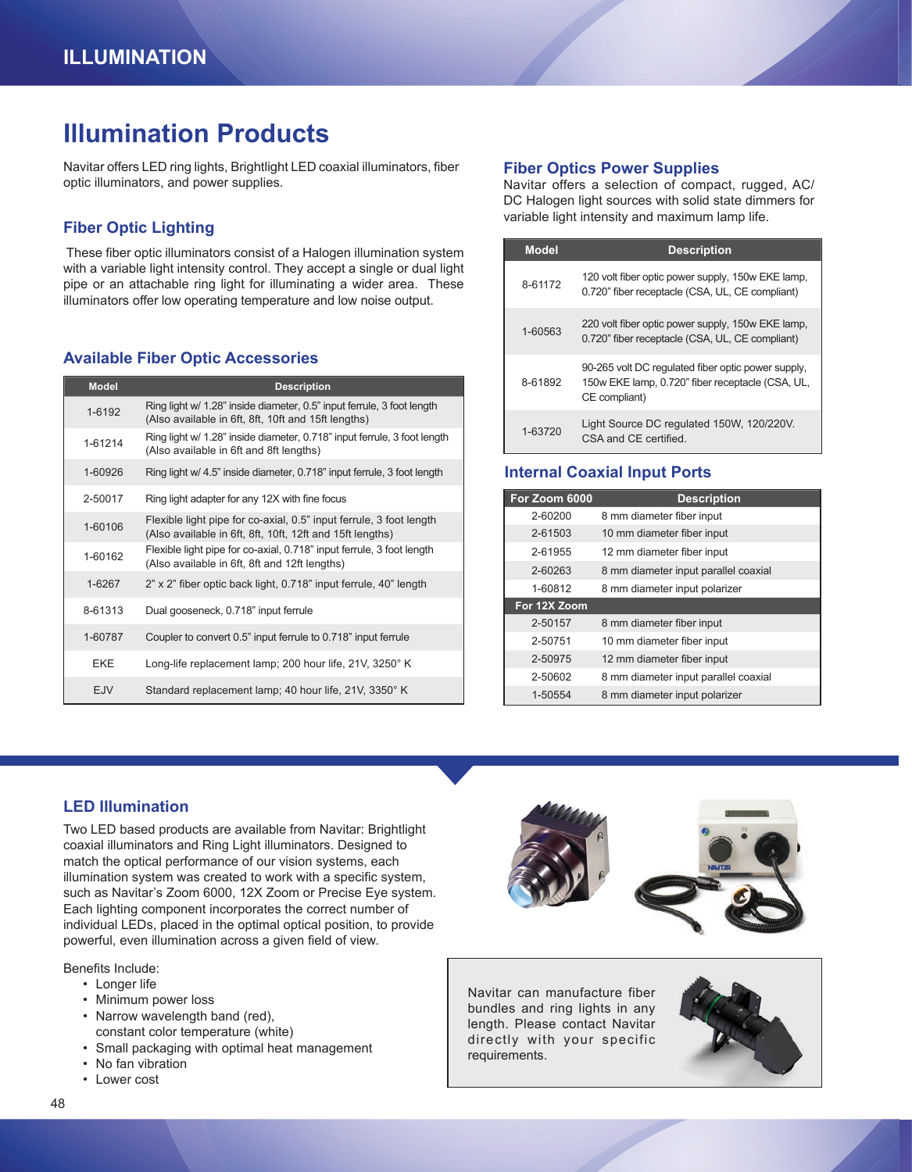# **Illumination Products**

Navitar offers LED ring lights, Brightlight LED coaxial illuminators, fiber optic illuminators, and power supplies.

## **Fiber Optic Lighting**

 These fiber optic illuminators consist of a Halogen illumination system with a variable light intensity control. They accept a single or dual light pipe or an attachable ring light for illuminating a wider area. These illuminators offer low operating temperature and low noise output.

### **Available Fiber Optic Accessories**

| <b>Model</b> | <b>Description</b>                                                                                                               |
|--------------|----------------------------------------------------------------------------------------------------------------------------------|
| 1-6192       | Ring light w/ 1.28" inside diameter, 0.5" input ferrule, 3 foot length<br>(Also available in 6ft, 8ft, 10ft and 15ft lengths)    |
| 1-61214      | Ring light w/ 1.28" inside diameter, 0.718" input ferrule, 3 foot length<br>(Also available in 6ft and 8ft lengths)              |
| 1-60926      | Ring light w/ 4.5" inside diameter, 0.718" input ferrule, 3 foot length                                                          |
| 2-50017      | Ring light adapter for any 12X with fine focus                                                                                   |
| 1-60106      | Flexible light pipe for co-axial, 0.5" input ferrule, 3 foot length<br>(Also available in 6ft, 8ft, 10ft, 12ft and 15ft lengths) |
| 1-60162      | Flexible light pipe for co-axial, 0.718" input ferrule, 3 foot length<br>(Also available in 6ft, 8ft and 12ft lengths)           |
| 1-6267       | 2" x 2" fiber optic back light, 0.718" input ferrule, 40" length                                                                 |
| 8-61313      | Dual gooseneck, 0.718" input ferrule                                                                                             |
| 1-60787      | Coupler to convert 0.5" input ferrule to 0.718" input ferrule                                                                    |
| <b>EKE</b>   | Long-life replacement lamp; 200 hour life, 21V, 3250° K                                                                          |
| <b>EJV</b>   | Standard replacement lamp; 40 hour life, 21V, 3350° K                                                                            |

#### **Fiber Optics Power Supplies**

Navitar offers a selection of compact, rugged, AC/ DC Halogen light sources with solid state dimmers for variable light intensity and maximum lamp life.

| <b>Model</b> | <b>Description</b>                                                                                                      |
|--------------|-------------------------------------------------------------------------------------------------------------------------|
| 8-61172      | 120 volt fiber optic power supply, 150w EKE lamp,<br>0.720" fiber receptacle (CSA, UL, CE compliant)                    |
| 1-60563      | 220 volt fiber optic power supply, 150w EKE lamp,<br>0.720" fiber receptacle (CSA, UL, CE compliant)                    |
| 8-61892      | 90-265 volt DC regulated fiber optic power supply.<br>150w EKE lamp, 0.720" fiber receptacle (CSA, UL,<br>CE compliant) |
| 1-63720      | Light Source DC regulated 150W, 120/220V.<br>CSA and CF certified                                                       |

### **Internal Coaxial Input Ports**

| For Zoom 6000 | <b>Description</b>                   |
|---------------|--------------------------------------|
| 2-60200       | 8 mm diameter fiber input            |
| 2-61503       | 10 mm diameter fiber input           |
| 2-61955       | 12 mm diameter fiber input           |
| 2-60263       | 8 mm diameter input parallel coaxial |
| 1-60812       | 8 mm diameter input polarizer        |
|               |                                      |
| For 12X Zoom  |                                      |
| 2-50157       | 8 mm diameter fiber input            |
| 2-50751       | 10 mm diameter fiber input           |
| 2-50975       | 12 mm diameter fiber input           |
| 2-50602       | 8 mm diameter input parallel coaxial |

## **LED Illumination**

Two LED based products are available from Navitar: Brightlight coaxial illuminators and Ring Light illuminators. Designed to match the optical performance of our vision systems, each illumination system was created to work with a specific system, such as Navitar's Zoom 6000, 12X Zoom or Precise Eye system. Each lighting component incorporates the correct number of individual LEDs, placed in the optimal optical position, to provide powerful, even illumination across a given field of view.

Benefits Include:

- Longer life
- Minimum power loss
- Narrow wavelength band (red), constant color temperature (white)
- Small packaging with optimal heat management
- No fan vibration
- Lower cost



Navitar can manufacture fiber bundles and ring lights in any length. Please contact Navitar directly with your specific requirements.